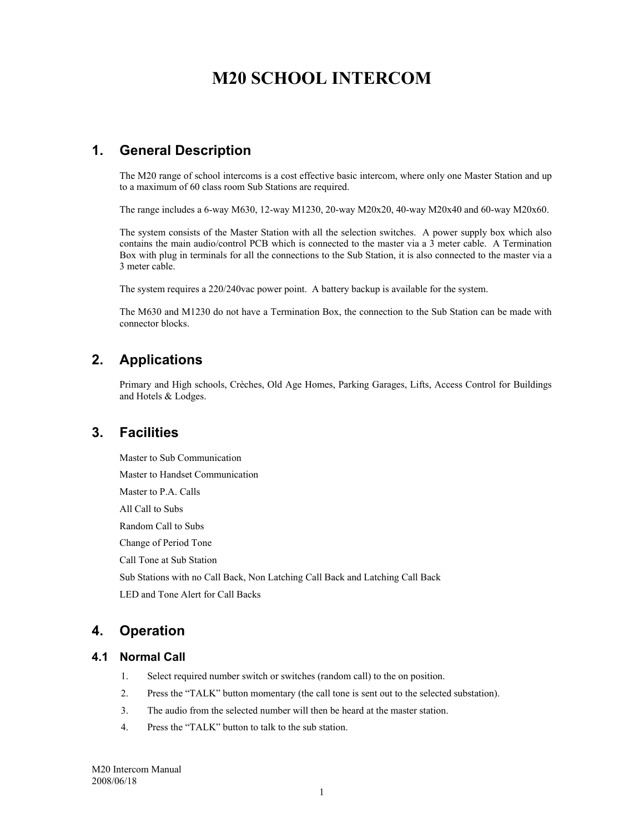# **M20 SCHOOL INTERCOM**

## **1. General Description**

The M20 range of school intercoms is a cost effective basic intercom, where only one Master Station and up to a maximum of 60 class room Sub Stations are required.

The range includes a 6-way M630, 12-way M1230, 20-way M20x20, 40-way M20x40 and 60-way M20x60.

The system consists of the Master Station with all the selection switches. A power supply box which also contains the main audio/control PCB which is connected to the master via a 3 meter cable. A Termination Box with plug in terminals for all the connections to the Sub Station, it is also connected to the master via a 3 meter cable.

The system requires a 220/240vac power point. A battery backup is available for the system.

The M630 and M1230 do not have a Termination Box, the connection to the Sub Station can be made with connector blocks.

## **2. Applications**

Primary and High schools, Crèches, Old Age Homes, Parking Garages, Lifts, Access Control for Buildings and Hotels & Lodges.

### **3. Facilities**

Master to Sub Communication Master to Handset Communication Master to P.A. Calls All Call to Subs Random Call to Subs Change of Period Tone Call Tone at Sub Station Sub Stations with no Call Back, Non Latching Call Back and Latching Call Back LED and Tone Alert for Call Backs

## **4. Operation**

#### **4.1 Normal Call**

- 1. Select required number switch or switches (random call) to the on position.
- 2. Press the "TALK" button momentary (the call tone is sent out to the selected substation).
- 3. The audio from the selected number will then be heard at the master station.
- 4. Press the "TALK" button to talk to the sub station.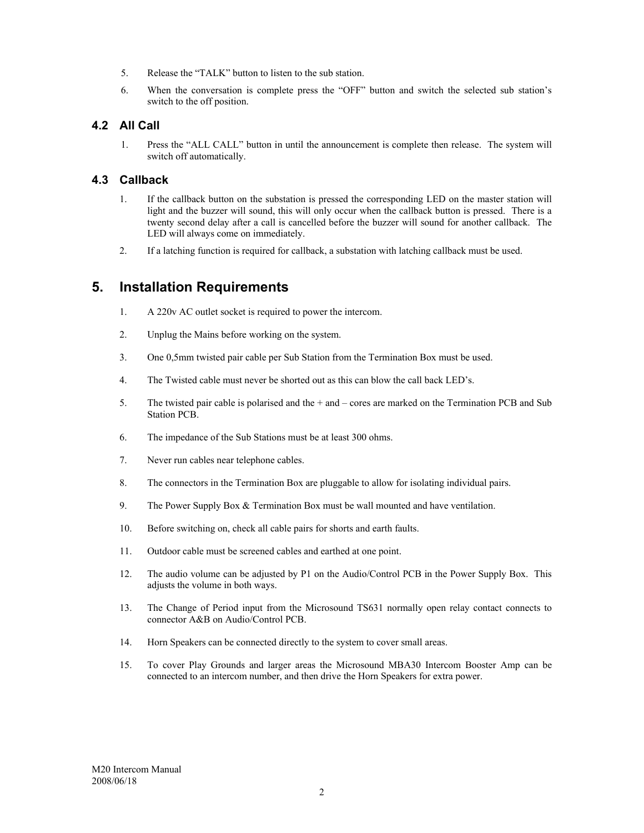- 5. Release the "TALK" button to listen to the sub station.
- 6. When the conversation is complete press the "OFF" button and switch the selected sub station's switch to the off position.

#### **4.2 All Call**

1. Press the "ALL CALL" button in until the announcement is complete then release. The system will switch off automatically.

#### **4.3 Callback**

- 1. If the callback button on the substation is pressed the corresponding LED on the master station will light and the buzzer will sound, this will only occur when the callback button is pressed. There is a twenty second delay after a call is cancelled before the buzzer will sound for another callback. The LED will always come on immediately.
- 2. If a latching function is required for callback, a substation with latching callback must be used.

## **5. Installation Requirements**

- 1. A 220v AC outlet socket is required to power the intercom.
- 2. Unplug the Mains before working on the system.
- 3. One 0,5mm twisted pair cable per Sub Station from the Termination Box must be used.
- 4. The Twisted cable must never be shorted out as this can blow the call back LED's.
- 5. The twisted pair cable is polarised and the + and cores are marked on the Termination PCB and Sub Station PCB.
- 6. The impedance of the Sub Stations must be at least 300 ohms.
- 7. Never run cables near telephone cables.
- 8. The connectors in the Termination Box are pluggable to allow for isolating individual pairs.
- 9. The Power Supply Box & Termination Box must be wall mounted and have ventilation.
- 10. Before switching on, check all cable pairs for shorts and earth faults.
- 11. Outdoor cable must be screened cables and earthed at one point.
- 12. The audio volume can be adjusted by P1 on the Audio/Control PCB in the Power Supply Box. This adjusts the volume in both ways.
- 13. The Change of Period input from the Microsound TS631 normally open relay contact connects to connector A&B on Audio/Control PCB.
- 14. Horn Speakers can be connected directly to the system to cover small areas.
- 15. To cover Play Grounds and larger areas the Microsound MBA30 Intercom Booster Amp can be connected to an intercom number, and then drive the Horn Speakers for extra power.